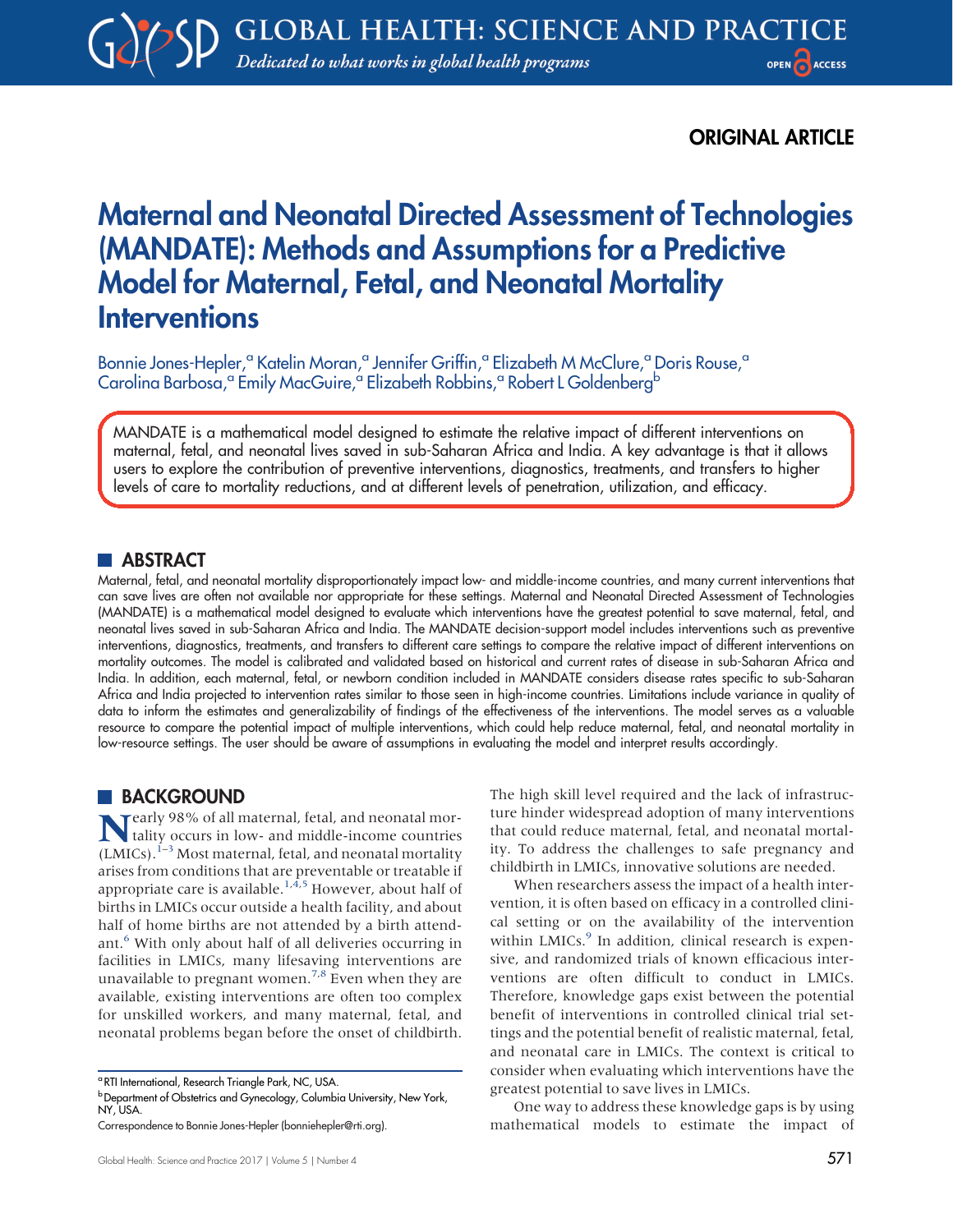ORIGINAL ARTICLE

# Maternal and Neonatal Directed Assessment of Technologies (MANDATE): Methods and Assumptions for a Predictive Model for Maternal, Fetal, and Neonatal Mortality **Interventions**

Bonnie Jones-Hepler,<sup>a</sup> Katelin Moran,<sup>a</sup> Jennifer Griffin,<sup>a</sup> Elizabeth M McClure,<sup>a</sup> Doris Rouse,<sup>a</sup> Carolina Barbosa,<sup>a</sup> Emily MacGuire,<sup>a</sup> Elizabeth Robbins,<sup>a</sup> Robert L Goldenberg<sup>b</sup>

MANDATE is a mathematical model designed to estimate the relative impact of different interventions on maternal, fetal, and neonatal lives saved in sub-Saharan Africa and India. A key advantage is that it allows users to explore the contribution of preventive interventions, diagnostics, treatments, and transfers to higher levels of care to mortality reductions, and at different levels of penetration, utilization, and efficacy.

# **ABSTRACT**

Maternal, fetal, and neonatal mortality disproportionately impact low- and middle-income countries, and many current interventions that can save lives are often not available nor appropriate for these settings. Maternal and Neonatal Directed Assessment of Technologies (MANDATE) is a mathematical model designed to evaluate which interventions have the greatest potential to save maternal, fetal, and neonatal lives saved in sub-Saharan Africa and India. The MANDATE decision-support model includes interventions such as preventive interventions, diagnostics, treatments, and transfers to different care settings to compare the relative impact of different interventions on mortality outcomes. The model is calibrated and validated based on historical and current rates of disease in sub-Saharan Africa and India. In addition, each maternal, fetal, or newborn condition included in MANDATE considers disease rates specific to sub-Saharan Africa and India projected to intervention rates similar to those seen in high-income countries. Limitations include variance in quality of data to inform the estimates and generalizability of findings of the effectiveness of the interventions. The model serves as a valuable resource to compare the potential impact of multiple interventions, which could help reduce maternal, fetal, and neonatal mortality in low-resource settings. The user should be aware of assumptions in evaluating the model and interpret results accordingly.

# **BACKGROUND**

Tearly 98% of all maternal, fetal, and neonatal mortality occurs in low- and middle-income countries  $(LMICs).$ <sup> $I-3$  $I-3$ </sup> Most maternal, fetal, and neonatal mortality arises from conditions that are preventable or treatable if appropriate care is available.<sup>1[,4](#page-8-2)[,5](#page-8-3)</sup> However, about half of births in LMICs occur outside a health facility, and about half of home births are not attended by a birth attend-ant.<sup>[6](#page-8-4)</sup> With only about half of all deliveries occurring in facilities in LMICs, many lifesaving interventions are unavailable to pregnant women.<sup>[7,](#page-8-5)[8](#page-8-6)</sup> Even when they are available, existing interventions are often too complex for unskilled workers, and many maternal, fetal, and neonatal problems began before the onset of childbirth.

<sup>a</sup> RTI International, Research Triangle Park, NC, USA.

The high skill level required and the lack of infrastructure hinder widespread adoption of many interventions that could reduce maternal, fetal, and neonatal mortality. To address the challenges to safe pregnancy and childbirth in LMICs, innovative solutions are needed.

When researchers assess the impact of a health intervention, it is often based on efficacy in a controlled clinical setting or on the availability of the intervention within LMICs.<sup>9</sup> In addition, clinical research is expensive, and randomized trials of known efficacious interventions are often difficult to conduct in LMICs. Therefore, knowledge gaps exist between the potential benefit of interventions in controlled clinical trial settings and the potential benefit of realistic maternal, fetal, and neonatal care in LMICs. The context is critical to consider when evaluating which interventions have the greatest potential to save lives in LMICs.

One way to address these knowledge gaps is by using mathematical models to estimate the impact of

b Department of Obstetrics and Gynecology, Columbia University, New York, NY, USA.

Correspondence to Bonnie Jones-Hepler ([bonniehepler@rti.org](mailto:bonniehepler@rti.org)).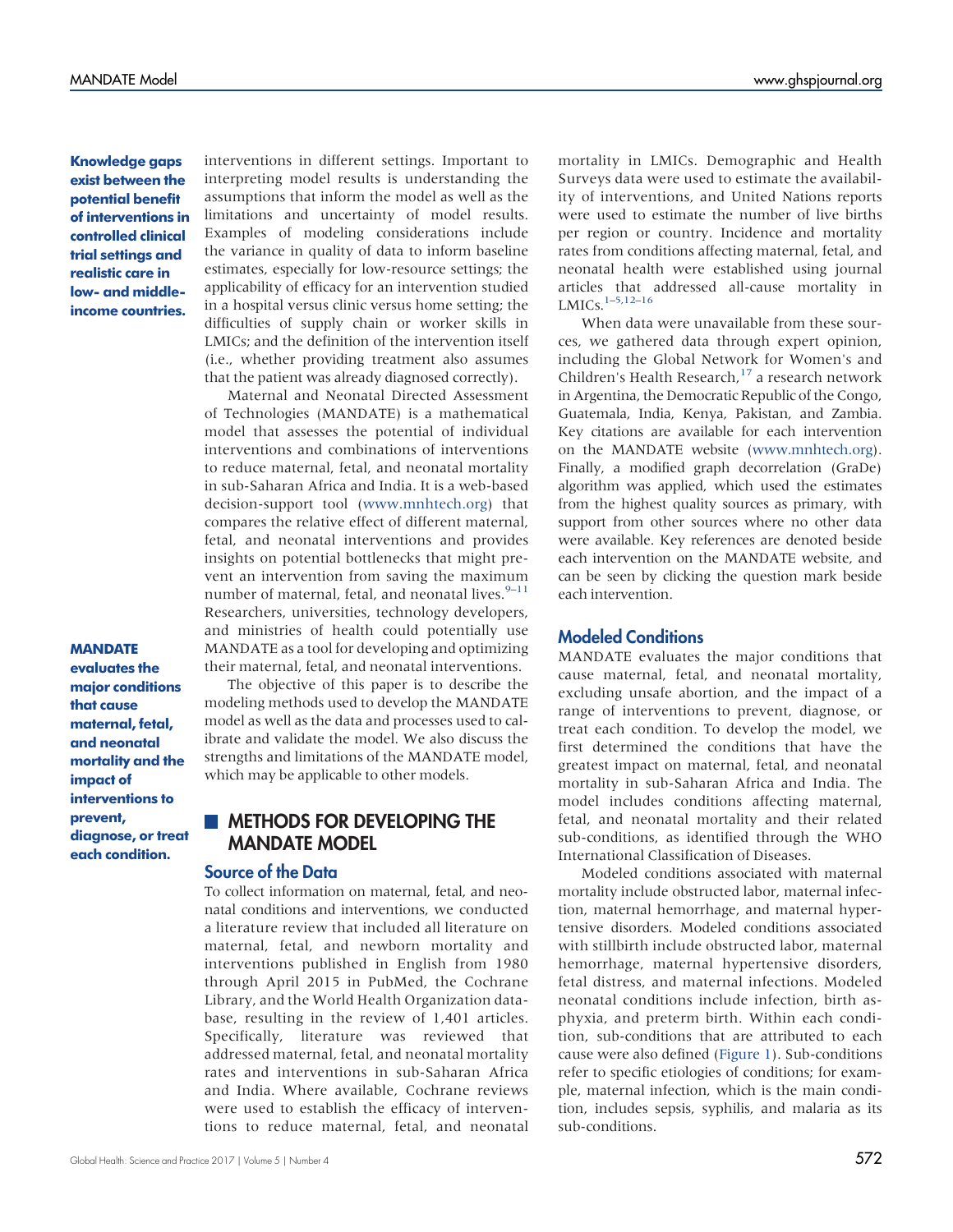Knowledge gaps exist between the potential benefit of interventions in controlled clinical trial settings and realistic care in low- and middleincome countries.

#### **MANDATE**

evaluates the major conditions that cause maternal, fetal, and neonatal mortality and the impact of interventions to prevent, diagnose, or treat each condition.

interventions in different settings. Important to interpreting model results is understanding the assumptions that inform the model as well as the limitations and uncertainty of model results. Examples of modeling considerations include the variance in quality of data to inform baseline estimates, especially for low-resource settings; the applicability of efficacy for an intervention studied in a hospital versus clinic versus home setting; the difficulties of supply chain or worker skills in LMICs; and the definition of the intervention itself (i.e., whether providing treatment also assumes that the patient was already diagnosed correctly).

Maternal and Neonatal Directed Assessment of Technologies (MANDATE) is a mathematical model that assesses the potential of individual interventions and combinations of interventions to reduce maternal, fetal, and neonatal mortality in sub-Saharan Africa and India. It is a web-based decision-support tool [\(www.mnhtech.org](http://www.mnhtech.org)) that compares the relative effect of different maternal, fetal, and neonatal interventions and provides insights on potential bottlenecks that might prevent an intervention from saving the maximum number of maternal, fetal, and neonatal lives. $9-11$  $9-11$  $9-11$ Researchers, universities, technology developers, and ministries of health could potentially use MANDATE as a tool for developing and optimizing their maternal, fetal, and neonatal interventions.

The objective of this paper is to describe the modeling methods used to develop the MANDATE model as well as the data and processes used to calibrate and validate the model. We also discuss the strengths and limitations of the MANDATE model, which may be applicable to other models.

# **METHODS FOR DEVELOPING THE** MANDATE MODEL

# Source of the Data

To collect information on maternal, fetal, and neonatal conditions and interventions, we conducted a literature review that included all literature on maternal, fetal, and newborn mortality and interventions published in English from 1980 through April 2015 in PubMed, the Cochrane Library, and the World Health Organization database, resulting in the review of 1,401 articles. Specifically, literature was reviewed that addressed maternal, fetal, and neonatal mortality rates and interventions in sub-Saharan Africa and India. Where available, Cochrane reviews were used to establish the efficacy of interventions to reduce maternal, fetal, and neonatal

mortality in LMICs. Demographic and Health Surveys data were used to estimate the availability of interventions, and United Nations reports were used to estimate the number of live births per region or country. Incidence and mortality rates from conditions affecting maternal, fetal, and neonatal health were established using journal articles that addressed all-cause mortality in  $LMICS.<sup>1-5,12-16</sup>$  $LMICS.<sup>1-5,12-16</sup>$  $LMICS.<sup>1-5,12-16</sup>$  $LMICS.<sup>1-5,12-16</sup>$  $LMICS.<sup>1-5,12-16</sup>$  $LMICS.<sup>1-5,12-16</sup>$ 

When data were unavailable from these sources, we gathered data through expert opinion, including the Global Network for Women's and Children's Health Research,<sup>[17](#page-9-3)</sup> a research network in Argentina, the Democratic Republic of the Congo, Guatemala, India, Kenya, Pakistan, and Zambia. Key citations are available for each intervention on the MANDATE website [\(www.mnhtech.org\)](http://www.mnhtech.org). Finally, a modified graph decorrelation (GraDe) algorithm was applied, which used the estimates from the highest quality sources as primary, with support from other sources where no other data were available. Key references are denoted beside each intervention on the MANDATE website, and can be seen by clicking the question mark beside each intervention.

### Modeled Conditions

MANDATE evaluates the major conditions that cause maternal, fetal, and neonatal mortality, excluding unsafe abortion, and the impact of a range of interventions to prevent, diagnose, or treat each condition. To develop the model, we first determined the conditions that have the greatest impact on maternal, fetal, and neonatal mortality in sub-Saharan Africa and India. The model includes conditions affecting maternal, fetal, and neonatal mortality and their related sub-conditions, as identified through the WHO International Classification of Diseases.

Modeled conditions associated with maternal mortality include obstructed labor, maternal infection, maternal hemorrhage, and maternal hypertensive disorders. Modeled conditions associated with stillbirth include obstructed labor, maternal hemorrhage, maternal hypertensive disorders, fetal distress, and maternal infections. Modeled neonatal conditions include infection, birth asphyxia, and preterm birth. Within each condition, sub-conditions that are attributed to each cause were also defined [\(Figure 1](#page-2-0)). Sub-conditions refer to specific etiologies of conditions; for example, maternal infection, which is the main condition, includes sepsis, syphilis, and malaria as its sub-conditions.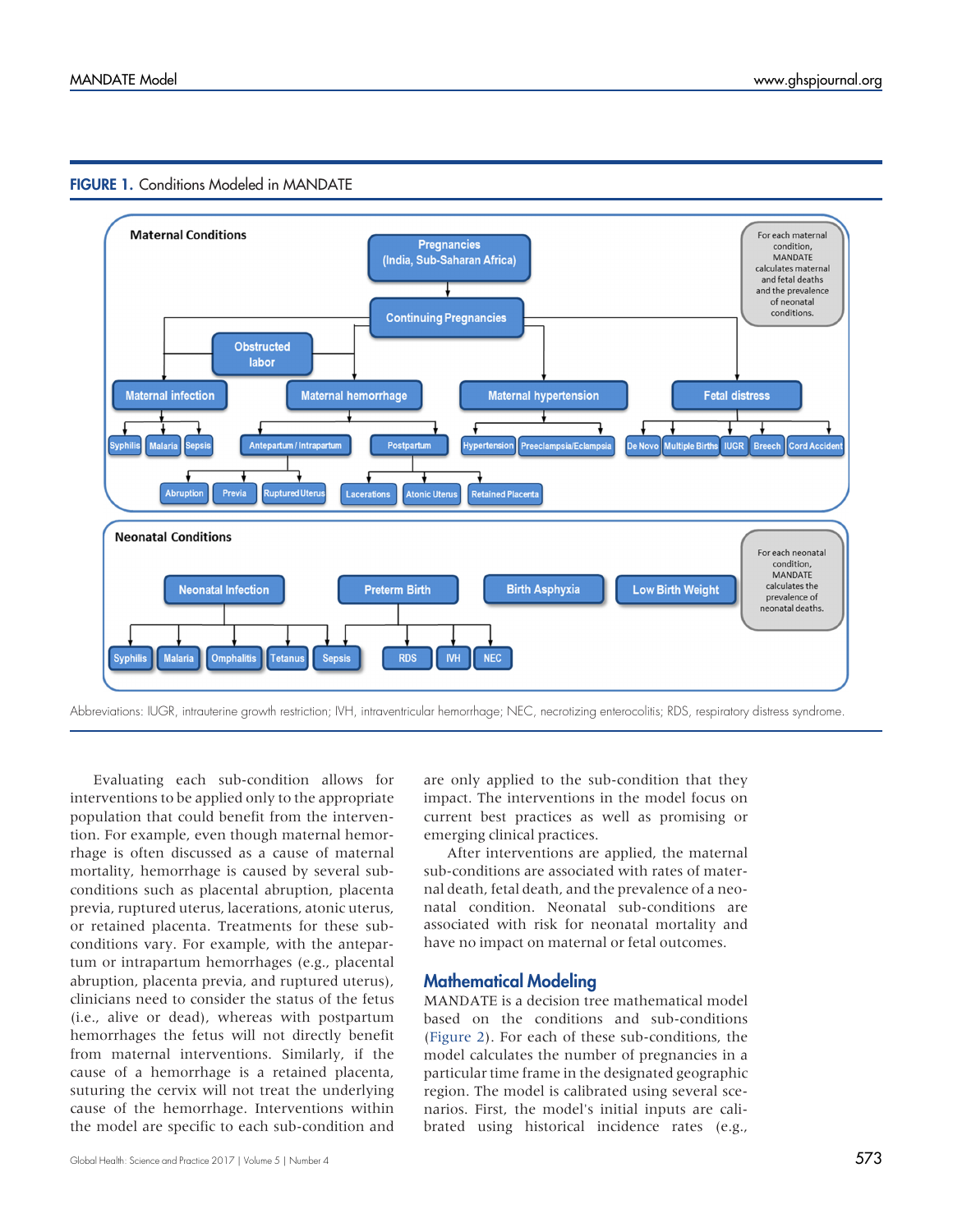<span id="page-2-0"></span>



Abbreviations: IUGR, intrauterine growth restriction; IVH, intraventricular hemorrhage; NEC, necrotizing enterocolitis; RDS, respiratory distress syndrome.

Evaluating each sub-condition allows for interventions to be applied only to the appropriate population that could benefit from the intervention. For example, even though maternal hemorrhage is often discussed as a cause of maternal mortality, hemorrhage is caused by several subconditions such as placental abruption, placenta previa, ruptured uterus, lacerations, atonic uterus, or retained placenta. Treatments for these subconditions vary. For example, with the antepartum or intrapartum hemorrhages (e.g., placental abruption, placenta previa, and ruptured uterus), clinicians need to consider the status of the fetus (i.e., alive or dead), whereas with postpartum hemorrhages the fetus will not directly benefit from maternal interventions. Similarly, if the cause of a hemorrhage is a retained placenta, suturing the cervix will not treat the underlying cause of the hemorrhage. Interventions within the model are specific to each sub-condition and are only applied to the sub-condition that they impact. The interventions in the model focus on current best practices as well as promising or emerging clinical practices.

After interventions are applied, the maternal sub-conditions are associated with rates of maternal death, fetal death, and the prevalence of a neonatal condition. Neonatal sub-conditions are associated with risk for neonatal mortality and have no impact on maternal or fetal outcomes.

### Mathematical Modeling

MANDATE is a decision tree mathematical model based on the conditions and sub-conditions [\(Figure 2\)](#page-3-0). For each of these sub-conditions, the model calculates the number of pregnancies in a particular time frame in the designated geographic region. The model is calibrated using several scenarios. First, the model's initial inputs are calibrated using historical incidence rates (e.g.,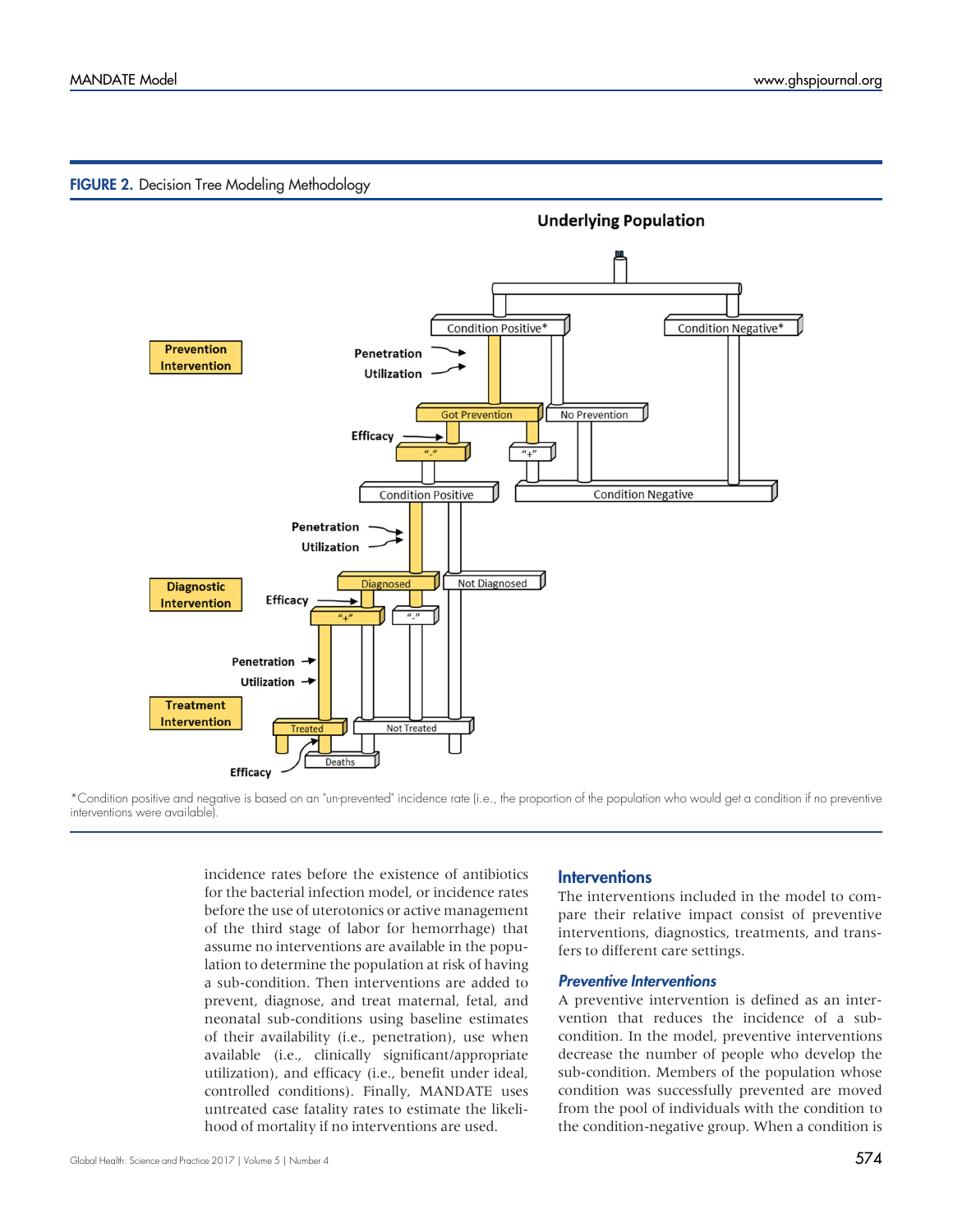#### <span id="page-3-0"></span>**FIGURE 2.** Decision Tree Modeling Methodology



\*Condition positive and negative is based on an "un-prevented" incidence rate (i.e., the proportion of the population who would get a condition if no preventive interventions were available).

incidence rates before the existence of antibiotics for the bacterial infection model, or incidence rates before the use of uterotonics or active management of the third stage of labor for hemorrhage) that assume no interventions are available in the population to determine the population at risk of having a sub-condition. Then interventions are added to prevent, diagnose, and treat maternal, fetal, and neonatal sub-conditions using baseline estimates of their availability (i.e., penetration), use when available (i.e., clinically significant/appropriate utilization), and efficacy (i.e., benefit under ideal, controlled conditions). Finally, MANDATE uses untreated case fatality rates to estimate the likelihood of mortality if no interventions are used.

# **Interventions**

The interventions included in the model to compare their relative impact consist of preventive interventions, diagnostics, treatments, and transfers to different care settings.

#### **Preventive Interventions**

A preventive intervention is defined as an intervention that reduces the incidence of a subcondition. In the model, preventive interventions decrease the number of people who develop the sub-condition. Members of the population whose condition was successfully prevented are moved from the pool of individuals with the condition to the condition-negative group. When a condition is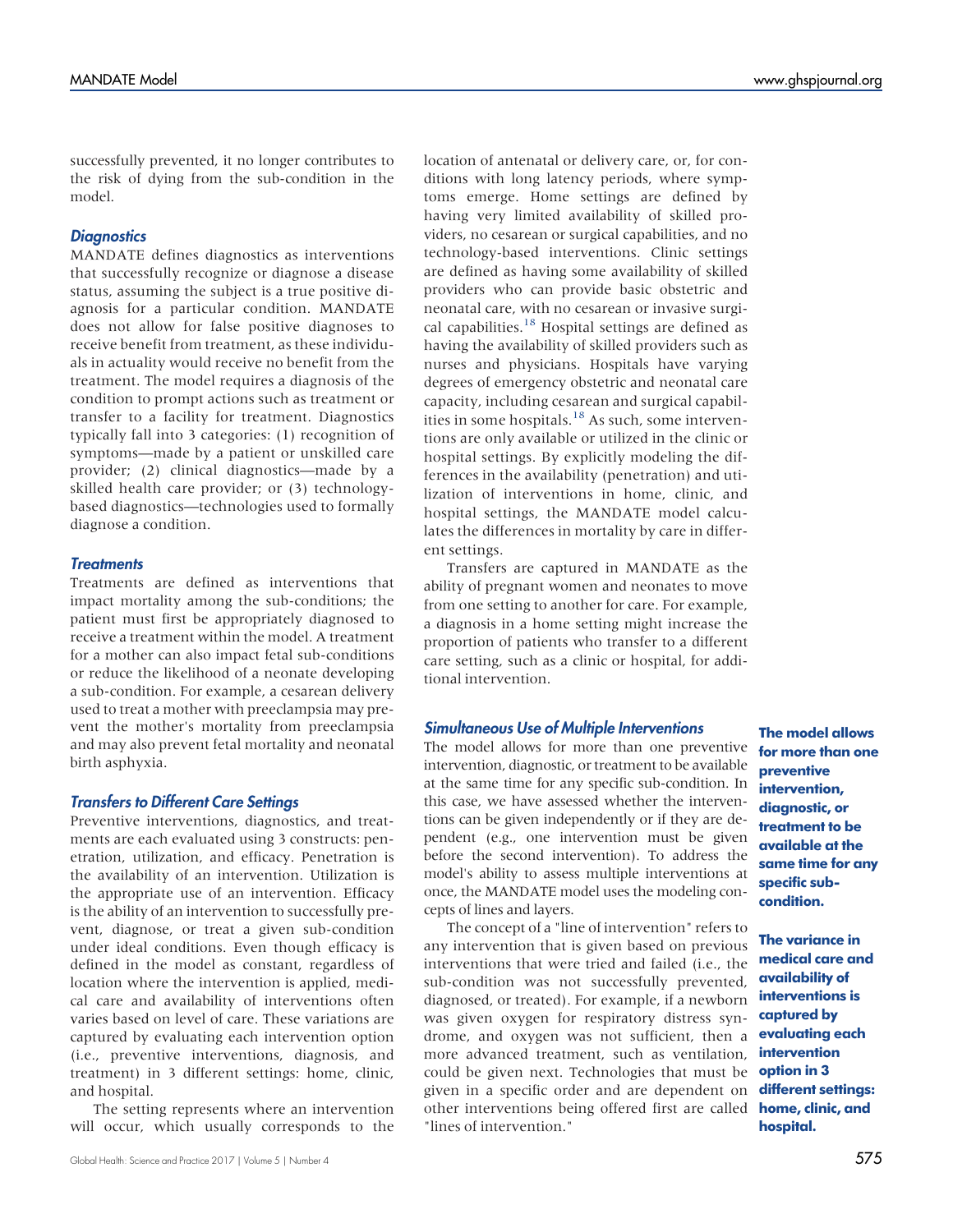successfully prevented, it no longer contributes to the risk of dying from the sub-condition in the model.

MANDATE defines diagnostics as interventions that successfully recognize or diagnose a disease status, assuming the subject is a true positive diagnosis for a particular condition. MANDATE does not allow for false positive diagnoses to receive benefit from treatment, as these individuals in actuality would receive no benefit from the treatment. The model requires a diagnosis of the condition to prompt actions such as treatment or transfer to a facility for treatment. Diagnostics typically fall into 3 categories: (1) recognition of symptoms—made by a patient or unskilled care provider; (2) clinical diagnostics—made by a skilled health care provider; or (3) technologybased diagnostics—technologies used to formally diagnose a condition.

#### **Treatments**

Treatments Treatments are defined as interventions that impact mortality among the sub-conditions; the patient must first be appropriately diagnosed to receive a treatment within the model. A treatment for a mother can also impact fetal sub-conditions or reduce the likelihood of a neonate developing a sub-condition. For example, a cesarean delivery used to treat a mother with preeclampsia may prevent the mother's mortality from preeclampsia and may also prevent fetal mortality and neonatal birth asphyxia.

Preventive interventions, diagnostics, and treatments are each evaluated using 3 constructs: penetration, utilization, and efficacy. Penetration is the availability of an intervention. Utilization is the appropriate use of an intervention. Efficacy is the ability of an intervention to successfully prevent, diagnose, or treat a given sub-condition under ideal conditions. Even though efficacy is defined in the model as constant, regardless of location where the intervention is applied, medical care and availability of interventions often varies based on level of care. These variations are captured by evaluating each intervention option (i.e., preventive interventions, diagnosis, and treatment) in 3 different settings: home, clinic, and hospital.

The setting represents where an intervention will occur, which usually corresponds to the

location of antenatal or delivery care, or, for conditions with long latency periods, where symptoms emerge. Home settings are defined by having very limited availability of skilled providers, no cesarean or surgical capabilities, and no technology-based interventions. Clinic settings are defined as having some availability of skilled providers who can provide basic obstetric and neonatal care, with no cesarean or invasive surgi-cal capabilities.<sup>[18](#page-9-4)</sup> Hospital settings are defined as having the availability of skilled providers such as nurses and physicians. Hospitals have varying degrees of emergency obstetric and neonatal care capacity, including cesarean and surgical capabilities in some hospitals.[18](#page-9-4) As such, some interventions are only available or utilized in the clinic or hospital settings. By explicitly modeling the differences in the availability (penetration) and utilization of interventions in home, clinic, and hospital settings, the MANDATE model calculates the differences in mortality by care in different settings.

Transfers are captured in MANDATE as the ability of pregnant women and neonates to move from one setting to another for care. For example, a diagnosis in a home setting might increase the proportion of patients who transfer to a different care setting, such as a clinic or hospital, for additional intervention.

The model allows for more than one preventive intervention, diagnostic, or treatment to be available at the same time for any specific sub-condition. In this case, we have assessed whether the interventions can be given independently or if they are dependent (e.g., one intervention must be given before the second intervention). To address the model's ability to assess multiple interventions at once, the MANDATE model uses the modeling concepts of lines and layers.

The concept of a "line of intervention" refers to any intervention that is given based on previous interventions that were tried and failed (i.e., the sub-condition was not successfully prevented, diagnosed, or treated). For example, if a newborn was given oxygen for respiratory distress syndrome, and oxygen was not sufficient, then a more advanced treatment, such as ventilation, could be given next. Technologies that must be given in a specific order and are dependent on other interventions being offered first are called **home, clinic, and** "lines of intervention."

The model allows for more than one preventive intervention, diagnostic, or treatment to be available at the same time for any specific subcondition.

The variance in medical care and availability of interventions is captured by evaluating each intervention option in 3 different settings: hospital.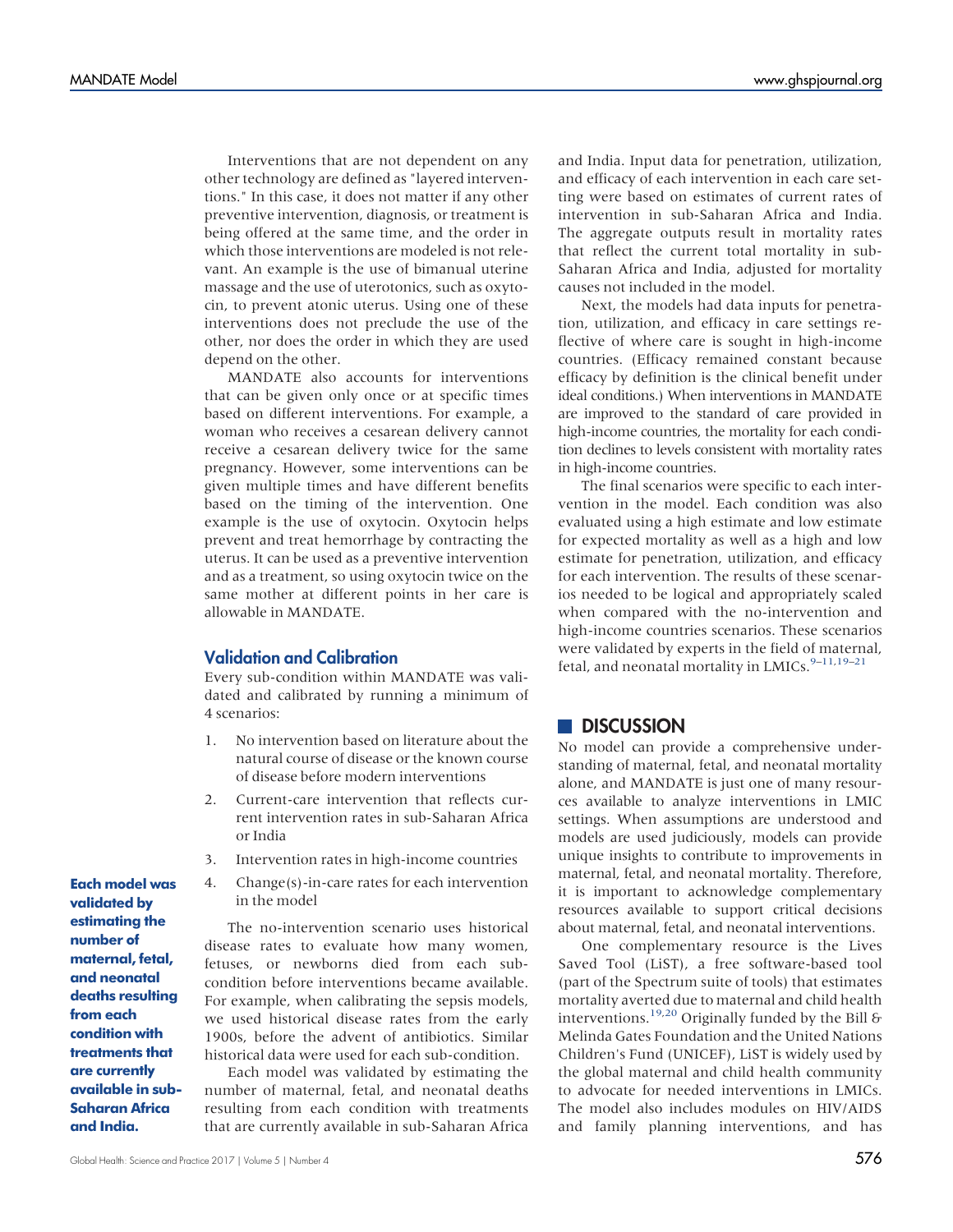Interventions that are not dependent on any other technology are defined as "layered interventions." In this case, it does not matter if any other preventive intervention, diagnosis, or treatment is being offered at the same time, and the order in which those interventions are modeled is not relevant. An example is the use of bimanual uterine massage and the use of uterotonics, such as oxytocin, to prevent atonic uterus. Using one of these interventions does not preclude the use of the other, nor does the order in which they are used depend on the other.

MANDATE also accounts for interventions that can be given only once or at specific times based on different interventions. For example, a woman who receives a cesarean delivery cannot receive a cesarean delivery twice for the same pregnancy. However, some interventions can be given multiple times and have different benefits based on the timing of the intervention. One example is the use of oxytocin. Oxytocin helps prevent and treat hemorrhage by contracting the uterus. It can be used as a preventive intervention and as a treatment, so using oxytocin twice on the same mother at different points in her care is allowable in MANDATE.

### Validation and Calibration

Every sub-condition within MANDATE was validated and calibrated by running a minimum of 4 scenarios:

- 1. No intervention based on literature about the natural course of disease or the known course of disease before modern interventions
- 2. Current-care intervention that reflects current intervention rates in sub-Saharan Africa or India
- 3. Intervention rates in high-income countries
- 4. Change(s)-in-care rates for each intervention in the model

The no-intervention scenario uses historical disease rates to evaluate how many women, fetuses, or newborns died from each subcondition before interventions became available. For example, when calibrating the sepsis models, we used historical disease rates from the early 1900s, before the advent of antibiotics. Similar historical data were used for each sub-condition.

Each model was validated by estimating the number of maternal, fetal, and neonatal deaths resulting from each condition with treatments that are currently available in sub-Saharan Africa and India. Input data for penetration, utilization, and efficacy of each intervention in each care setting were based on estimates of current rates of intervention in sub-Saharan Africa and India. The aggregate outputs result in mortality rates that reflect the current total mortality in sub-Saharan Africa and India, adjusted for mortality causes not included in the model.

Next, the models had data inputs for penetration, utilization, and efficacy in care settings reflective of where care is sought in high-income countries. (Efficacy remained constant because efficacy by definition is the clinical benefit under ideal conditions.) When interventions in MANDATE are improved to the standard of care provided in high-income countries, the mortality for each condition declines to levels consistent with mortality rates in high-income countries.

The final scenarios were specific to each intervention in the model. Each condition was also evaluated using a high estimate and low estimate for expected mortality as well as a high and low estimate for penetration, utilization, and efficacy for each intervention. The results of these scenarios needed to be logical and appropriately scaled when compared with the no-intervention and high-income countries scenarios. These scenarios were validated by experts in the field of maternal, fetal, and neonatal mortality in LMICs.<sup>[9](#page-8-7)-[11,](#page-9-0)[19](#page-9-5)-[21](#page-9-6)</sup>

# **DISCUSSION**

No model can provide a comprehensive understanding of maternal, fetal, and neonatal mortality alone, and MANDATE is just one of many resources available to analyze interventions in LMIC settings. When assumptions are understood and models are used judiciously, models can provide unique insights to contribute to improvements in maternal, fetal, and neonatal mortality. Therefore, it is important to acknowledge complementary resources available to support critical decisions about maternal, fetal, and neonatal interventions.

One complementary resource is the Lives Saved Tool (LiST), a free software-based tool (part of the Spectrum suite of tools) that estimates mortality averted due to maternal and child health interventions.<sup>[19,](#page-9-5)[20](#page-9-7)</sup> Originally funded by the Bill & Melinda Gates Foundation and the United Nations Children's Fund (UNICEF), LiST is widely used by the global maternal and child health community to advocate for needed interventions in LMICs. The model also includes modules on HIV/AIDS and family planning interventions, and has

Each model was validated by estimating the number of maternal, fetal, and neonatal deaths resulting from each condition with treatments that are currently available in sub-Saharan Africa and India.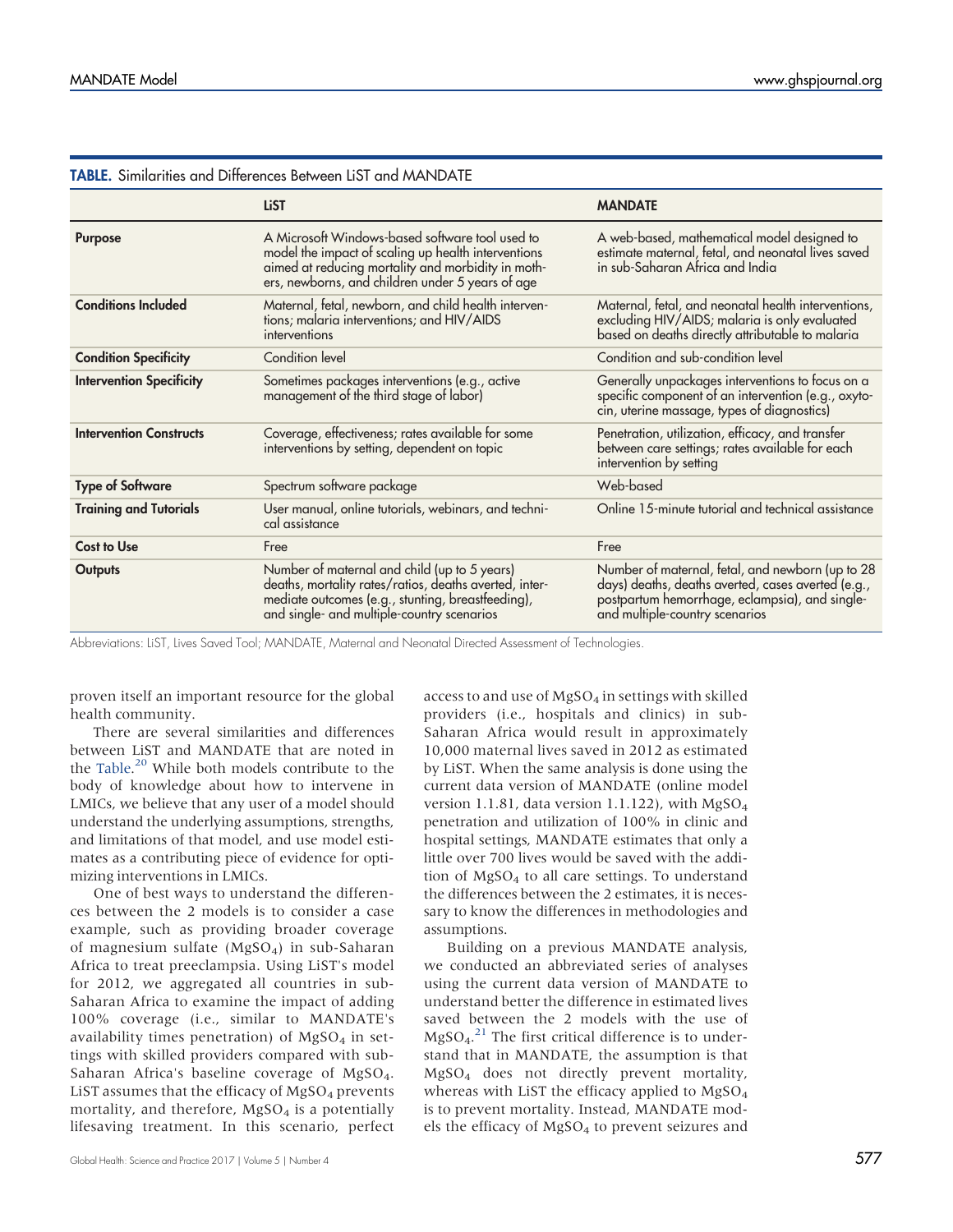|                                 | <b>LiST</b>                                                                                                                                                                                                      | <b>MANDATE</b>                                                                                                                                                                             |
|---------------------------------|------------------------------------------------------------------------------------------------------------------------------------------------------------------------------------------------------------------|--------------------------------------------------------------------------------------------------------------------------------------------------------------------------------------------|
| <b>Purpose</b>                  | A Microsoft Windows-based software tool used to<br>model the impact of scaling up health interventions<br>aimed at reducing mortality and morbidity in moth-<br>ers, newborns, and children under 5 years of age | A web-based, mathematical model designed to<br>estimate maternal, fetal, and neonatal lives saved<br>in sub-Saharan Africa and India                                                       |
| <b>Conditions Included</b>      | Maternal, fetal, newborn, and child health interven-<br>tions; malaria interventions; and HIV/AIDS<br>interventions                                                                                              | Maternal, fetal, and neonatal health interventions,<br>excluding HIV/AIDS; malaria is only evaluated<br>based on deaths directly attributable to malaria                                   |
| <b>Condition Specificity</b>    | Condition level                                                                                                                                                                                                  | Condition and sub-condition level                                                                                                                                                          |
| <b>Intervention Specificity</b> | Sometimes packages interventions (e.g., active<br>management of the third stage of labor)                                                                                                                        | Generally unpackages interventions to focus on a<br>specific component of an intervention (e.g., oxyto-<br>cin, uterine massage, types of diagnostics)                                     |
| <b>Intervention Constructs</b>  | Coverage, effectiveness; rates available for some<br>interventions by setting, dependent on topic                                                                                                                | Penetration, utilization, efficacy, and transfer<br>between care settings; rates available for each<br>intervention by setting                                                             |
| <b>Type of Software</b>         | Spectrum software package                                                                                                                                                                                        | Web-based                                                                                                                                                                                  |
| <b>Training and Tutorials</b>   | User manual, online tutorials, webinars, and techni-<br>cal assistance                                                                                                                                           | Online 15-minute tutorial and technical assistance                                                                                                                                         |
| <b>Cost to Use</b>              | Free                                                                                                                                                                                                             | Free                                                                                                                                                                                       |
| <b>Outputs</b>                  | Number of maternal and child (up to 5 years)<br>deaths, mortality rates/ratios, deaths averted, inter-<br>mediate outcomes (e.g., stunting, breastfeeding),<br>and single- and multiple-country scenarios        | Number of maternal, fetal, and newborn (up to 28<br>days) deaths, deaths averted, cases averted (e.g.,<br>postpartum hemorrhage, eclampsia), and single-<br>and multiple-country scenarios |

# <span id="page-6-0"></span>TABLE. Similarities and Differences Between LiST and MANDATE

Abbreviations: LiST, Lives Saved Tool; MANDATE, Maternal and Neonatal Directed Assessment of Technologies.

proven itself an important resource for the global health community.

There are several similarities and differences between LiST and MANDATE that are noted in the [Table](#page-6-0). [20](#page-9-7) While both models contribute to the body of knowledge about how to intervene in LMICs, we believe that any user of a model should understand the underlying assumptions, strengths, and limitations of that model, and use model estimates as a contributing piece of evidence for optimizing interventions in LMICs.

One of best ways to understand the differences between the 2 models is to consider a case example, such as providing broader coverage of magnesium sulfate (MgSO<sub>4</sub>) in sub-Saharan Africa to treat preeclampsia. Using LiST's model for 2012, we aggregated all countries in sub-Saharan Africa to examine the impact of adding 100% coverage (i.e., similar to MANDATE's availability times penetration) of  $MgSO<sub>4</sub>$  in settings with skilled providers compared with sub-Saharan Africa's baseline coverage of MgSO<sub>4</sub>. LiST assumes that the efficacy of  $MgSO<sub>4</sub>$  prevents mortality, and therefore,  $MgSO<sub>4</sub>$  is a potentially lifesaving treatment. In this scenario, perfect access to and use of MgSO<sub>4</sub> in settings with skilled providers (i.e., hospitals and clinics) in sub-Saharan Africa would result in approximately 10,000 maternal lives saved in 2012 as estimated by LiST. When the same analysis is done using the current data version of MANDATE (online model version 1.1.81, data version 1.1.122), with  $MgSO<sub>4</sub>$ penetration and utilization of 100% in clinic and hospital settings, MANDATE estimates that only a little over 700 lives would be saved with the addition of  $MgSO<sub>4</sub>$  to all care settings. To understand the differences between the 2 estimates, it is necessary to know the differences in methodologies and assumptions.

Building on a previous MANDATE analysis, we conducted an abbreviated series of analyses using the current data version of MANDATE to understand better the difference in estimated lives saved between the 2 models with the use of  $MgSO_4$ .<sup>[21](#page-9-6)</sup> The first critical difference is to understand that in MANDATE, the assumption is that MgSO4 does not directly prevent mortality, whereas with LiST the efficacy applied to  $MgSO<sub>4</sub>$ is to prevent mortality. Instead, MANDATE models the efficacy of MgSO<sub>4</sub> to prevent seizures and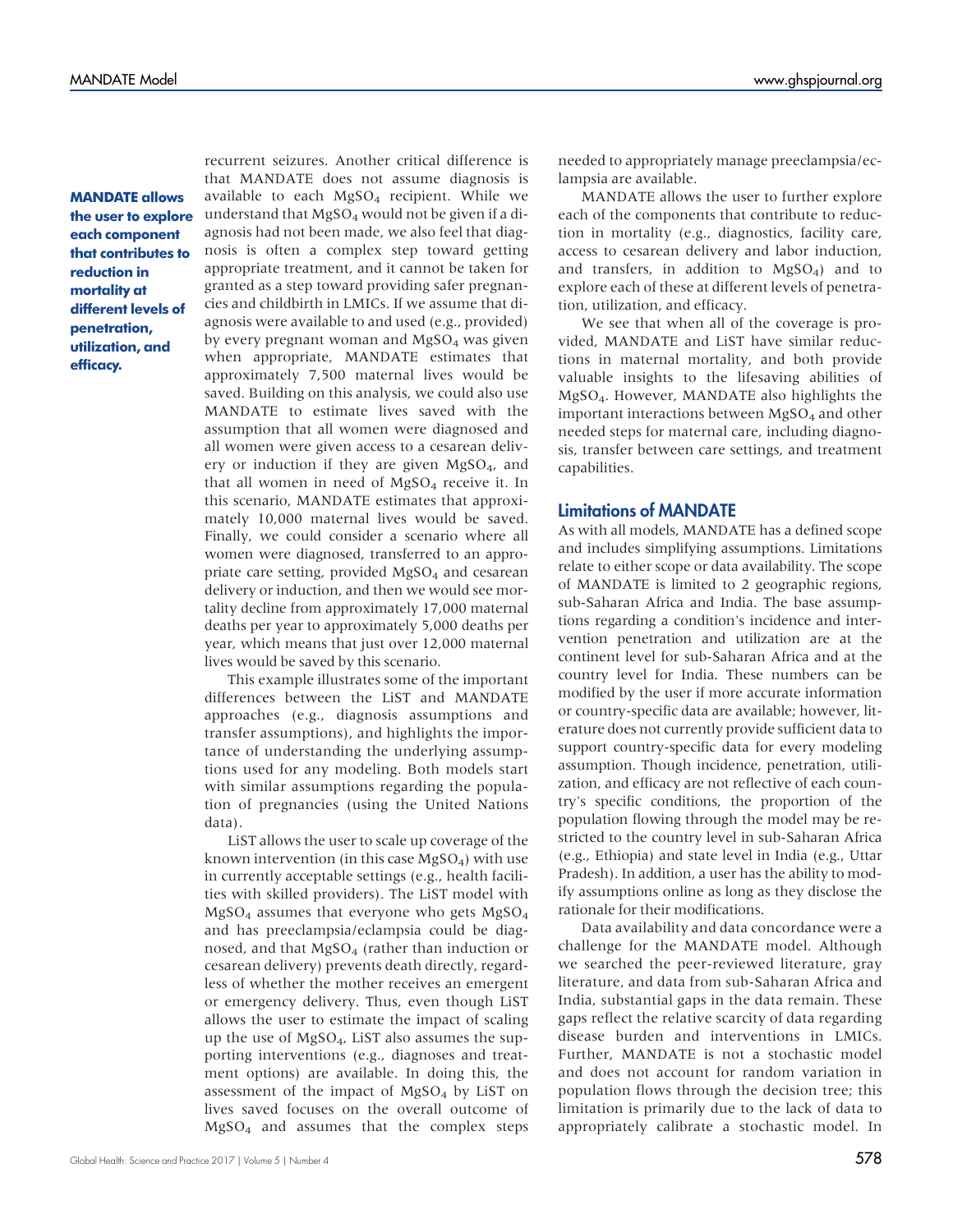MANDATE allows the user to explore each component that contributes to reduction in mortality at different levels of penetration, utilization, and efficacy.

recurrent seizures. Another critical difference is that MANDATE does not assume diagnosis is available to each  $MgSO<sub>4</sub>$  recipient. While we understand that MgSO<sub>4</sub> would not be given if a diagnosis had not been made, we also feel that diagnosis is often a complex step toward getting appropriate treatment, and it cannot be taken for granted as a step toward providing safer pregnancies and childbirth in LMICs. If we assume that diagnosis were available to and used (e.g., provided) by every pregnant woman and  $MgSO<sub>4</sub>$  was given when appropriate, MANDATE estimates that approximately 7,500 maternal lives would be saved. Building on this analysis, we could also use MANDATE to estimate lives saved with the assumption that all women were diagnosed and all women were given access to a cesarean delivery or induction if they are given MgSO4, and that all women in need of  $MgSO<sub>4</sub>$  receive it. In this scenario, MANDATE estimates that approximately 10,000 maternal lives would be saved. Finally, we could consider a scenario where all women were diagnosed, transferred to an appropriate care setting, provided MgSO<sub>4</sub> and cesarean delivery or induction, and then we would see mortality decline from approximately 17,000 maternal deaths per year to approximately 5,000 deaths per year, which means that just over 12,000 maternal lives would be saved by this scenario.

This example illustrates some of the important differences between the LiST and MANDATE approaches (e.g., diagnosis assumptions and transfer assumptions), and highlights the importance of understanding the underlying assumptions used for any modeling. Both models start with similar assumptions regarding the population of pregnancies (using the United Nations data).

LiST allows the user to scale up coverage of the known intervention (in this case  $MgSO<sub>4</sub>$ ) with use in currently acceptable settings (e.g., health facilities with skilled providers). The LiST model with  $MgSO<sub>4</sub>$  assumes that everyone who gets  $MgSO<sub>4</sub>$ and has preeclampsia/eclampsia could be diagnosed, and that  $MgSO<sub>4</sub>$  (rather than induction or cesarean delivery) prevents death directly, regardless of whether the mother receives an emergent or emergency delivery. Thus, even though LiST allows the user to estimate the impact of scaling up the use of MgSO4, LiST also assumes the supporting interventions (e.g., diagnoses and treatment options) are available. In doing this, the assessment of the impact of  $MgSO<sub>4</sub>$  by LiST on lives saved focuses on the overall outcome of MgSO4 and assumes that the complex steps

MANDATE allows the user to further explore each of the components that contribute to reduction in mortality (e.g., diagnostics, facility care, access to cesarean delivery and labor induction, and transfers, in addition to  $MgSO<sub>4</sub>$  and to explore each of these at different levels of penetration, utilization, and efficacy.

We see that when all of the coverage is provided, MANDATE and LiST have similar reductions in maternal mortality, and both provide valuable insights to the lifesaving abilities of MgSO4. However, MANDATE also highlights the important interactions between  $MgSO<sub>4</sub>$  and other needed steps for maternal care, including diagnosis, transfer between care settings, and treatment capabilities.

#### Limitations of MANDATE

As with all models, MANDATE has a defined scope and includes simplifying assumptions. Limitations relate to either scope or data availability. The scope of MANDATE is limited to 2 geographic regions, sub-Saharan Africa and India. The base assumptions regarding a condition's incidence and intervention penetration and utilization are at the continent level for sub-Saharan Africa and at the country level for India. These numbers can be modified by the user if more accurate information or country-specific data are available; however, literature does not currently provide sufficient data to support country-specific data for every modeling assumption. Though incidence, penetration, utilization, and efficacy are not reflective of each country's specific conditions, the proportion of the population flowing through the model may be restricted to the country level in sub-Saharan Africa (e.g., Ethiopia) and state level in India (e.g., Uttar Pradesh). In addition, a user has the ability to modify assumptions online as long as they disclose the rationale for their modifications.

Data availability and data concordance were a challenge for the MANDATE model. Although we searched the peer-reviewed literature, gray literature, and data from sub-Saharan Africa and India, substantial gaps in the data remain. These gaps reflect the relative scarcity of data regarding disease burden and interventions in LMICs. Further, MANDATE is not a stochastic model and does not account for random variation in population flows through the decision tree; this limitation is primarily due to the lack of data to appropriately calibrate a stochastic model. In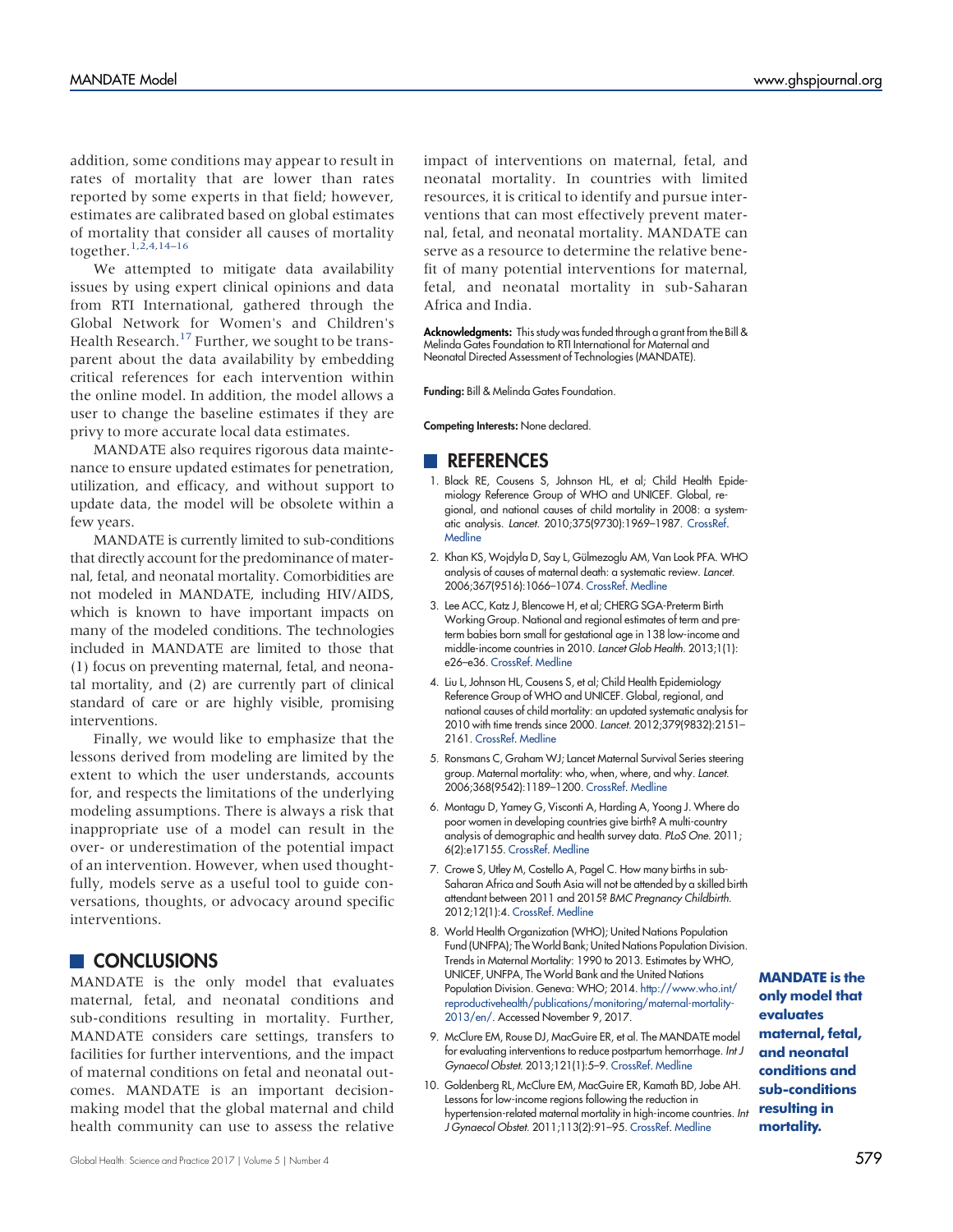addition, some conditions may appear to result in rates of mortality that are lower than rates reported by some experts in that field; however, estimates are calibrated based on global estimates of mortality that consider all causes of mortality together.<sup>[1,](#page-8-0)[2,](#page-8-8)[4,](#page-8-2)[14](#page-9-8)-[16](#page-9-2)</sup>

We attempted to mitigate data availability issues by using expert clinical opinions and data from RTI International, gathered through the Global Network for Women's and Children's Health Research.<sup>[17](#page-9-3)</sup> Further, we sought to be transparent about the data availability by embedding critical references for each intervention within the online model. In addition, the model allows a user to change the baseline estimates if they are privy to more accurate local data estimates.

MANDATE also requires rigorous data maintenance to ensure updated estimates for penetration, utilization, and efficacy, and without support to update data, the model will be obsolete within a few years.

MANDATE is currently limited to sub-conditions that directly account for the predominance of maternal, fetal, and neonatal mortality. Comorbidities are not modeled in MANDATE, including HIV/AIDS, which is known to have important impacts on many of the modeled conditions. The technologies included in MANDATE are limited to those that (1) focus on preventing maternal, fetal, and neonatal mortality, and (2) are currently part of clinical standard of care or are highly visible, promising interventions.

Finally, we would like to emphasize that the lessons derived from modeling are limited by the extent to which the user understands, accounts for, and respects the limitations of the underlying modeling assumptions. There is always a risk that inappropriate use of a model can result in the over- or underestimation of the potential impact of an intervention. However, when used thoughtfully, models serve as a useful tool to guide conversations, thoughts, or advocacy around specific interventions.

# **CONCLUSIONS**

MANDATE is the only model that evaluates maternal, fetal, and neonatal conditions and sub-conditions resulting in mortality. Further, MANDATE considers care settings, transfers to facilities for further interventions, and the impact of maternal conditions on fetal and neonatal outcomes. MANDATE is an important decisionmaking model that the global maternal and child health community can use to assess the relative

impact of interventions on maternal, fetal, and neonatal mortality. In countries with limited resources, it is critical to identify and pursue interventions that can most effectively prevent maternal, fetal, and neonatal mortality. MANDATE can serve as a resource to determine the relative benefit of many potential interventions for maternal, fetal, and neonatal mortality in sub-Saharan Africa and India.

Acknowledgments: This study was funded through a grant from the Bill & Melinda Gates Foundation to RTI International for Maternal and Neonatal Directed Assessment of Technologies (MANDATE).

Funding: Bill & Melinda Gates Foundation.

Competing Interests: None declared.

#### **REFERENCES**

- <span id="page-8-0"></span>1. Black RE, Cousens S, Johnson HL, et al; Child Health Epidemiology Reference Group of WHO and UNICEF. Global, regional, and national causes of child mortality in 2008: a systematic analysis. Lancet. 2010;375(9730):1969–1987. [CrossRef.](https://doi.org/10.1016/S0140-6736(10)60549-1) [Medline](http://www.ncbi.nlm.nih.gov/pubmed/20466419/)
- <span id="page-8-8"></span>2. Khan KS, Wojdyla D, Say L, Gülmezoglu AM, Van Look PFA. WHO analysis of causes of maternal death: a systematic review. Lancet. 2006;367(9516):1066–1074. [CrossRef.](https://doi.org/10.1016/S0140-6736(06)68397-9) [Medline](http://www.ncbi.nlm.nih.gov/pubmed/16581405)
- <span id="page-8-1"></span>3. Lee ACC, Katz J, Blencowe H, et al; CHERG SGA-Preterm Birth Working Group. National and regional estimates of term and preterm babies born small for gestational age in 138 low-income and middle-income countries in 2010. Lancet Glob Health. 2013;1(1): e26–e36. [CrossRef.](https://doi.org/10.1016/S2214-109X(13)70006-8) [Medline](http://www.ncbi.nlm.nih.gov/pubmed/25103583)
- <span id="page-8-2"></span>4. Liu L, Johnson HL, Cousens S, et al; Child Health Epidemiology Reference Group of WHO and UNICEF. Global, regional, and national causes of child mortality: an updated systematic analysis for 2010 with time trends since 2000. Lancet. 2012;379(9832):2151– 2161. [CrossRef](https://doi.org/10.1016/S0140-6736(12)60560-1). [Medline](http://www.ncbi.nlm.nih.gov/pubmed/22579125)
- <span id="page-8-3"></span>5. Ronsmans C, Graham WJ; Lancet Maternal Survival Series steering group. Maternal mortality: who, when, where, and why. Lancet. 2006;368(9542):1189–1200. [CrossRef.](https://doi.org/10.1016/S0140-6736(06)69380-X) [Medline](http://www.ncbi.nlm.nih.gov/pubmed/17011946)
- <span id="page-8-4"></span>6. Montagu D, Yamey G, Visconti A, Harding A, Yoong J. Where do poor women in developing countries give birth? A multi-country analysis of demographic and health survey data. PLoS One. 2011; 6(2):e17155. [CrossRef.](https://doi.org/10.1371/journal.pone.0017155) [Medline](http://www.ncbi.nlm.nih.gov/pubmed/21386886)
- <span id="page-8-5"></span>7. Crowe S, Utley M, Costello A, Pagel C. How many births in sub-Saharan Africa and South Asia will not be attended by a skilled birth attendant between 2011 and 2015? BMC Pregnancy Childbirth. 2012;12(1):4. [CrossRef](https://doi.org/10.1186/1471-2393-12-4). [Medline](http://www.ncbi.nlm.nih.gov/pubmed/22251749)
- <span id="page-8-6"></span>8. World Health Organization (WHO); United Nations Population Fund (UNFPA); TheWorld Bank; United Nations Population Division. Trends in Maternal Mortality: 1990 to 2013. Estimates by WHO, UNICEF, UNFPA, The World Bank and the United Nations Population Division. Geneva: WHO; 2014. [http://www.who.int/](http://www.who.int/reproductivehealth/publications/monitoring/maternal-mortality-2013/en/) [reproductivehealth/publications/monitoring/maternal-mortality-](http://www.who.int/reproductivehealth/publications/monitoring/maternal-mortality-2013/en/)[2013/en/](http://www.who.int/reproductivehealth/publications/monitoring/maternal-mortality-2013/en/). Accessed November 9, 2017.
- <span id="page-8-7"></span>9. McClure EM, Rouse DJ, MacGuire ER, et al. The MANDATE model for evaluating interventions to reduce postpartum hemorrhage. Int J Gynaecol Obstet. 2013;121(1):5–9. [CrossRef.](https://doi.org/10.1016/j.ijgo.2012.10.030) [Medline](http://www.ncbi.nlm.nih.gov/pubmed/23313144)
- 10. Goldenberg RL, McClure EM, MacGuire ER, Kamath BD, Jobe AH. Lessons for low-income regions following the reduction in hypertension-related maternal mortality in high-income countries. Int J Gynaecol Obstet. 2011;113(2):91–95. [CrossRef.](https://doi.org/10.1016/j.ijgo.2011.01.002) [Medline](http://www.ncbi.nlm.nih.gov/pubmed/21349517)

MANDATE is the only model that evaluates maternal, fetal, and neonatal conditions and sub-conditions resulting in mortality.